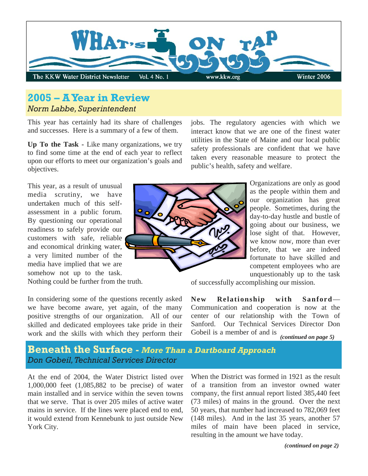

# **2005 – A Year in Review**  *Norm Labbe, Superintendent*

This year has certainly had its share of challenges and successes. Here is a summary of a few of them.

**Up To the Task -** Like many organizations, we try to find some time at the end of each year to reflect upon our efforts to meet our organization's goals and objectives.

This year, as a result of unusual media scrutiny, we have undertaken much of this selfassessment in a public forum. By questioning our operational readiness to safely provide our customers with safe, reliable and economical drinking water, a very limited number of the media have implied that we are somehow not up to the task. Nothing could be further from the truth.

In considering some of the questions recently asked we have become aware, yet again, of the many positive strengths of our organization. All of our skilled and dedicated employees take pride in their work and the skills with which they perform their

jobs. The regulatory agencies with which we interact know that we are one of the finest water utilities in the State of Maine and our local public safety professionals are confident that we have taken every reasonable measure to protect the public's health, safety and welfare.

> Organizations are only as good as the people within them and our organization has great people. Sometimes, during the day-to-day hustle and bustle of going about our business, we lose sight of that. However, we know now, more than ever before, that we are indeed fortunate to have skilled and competent employees who are unquestionably up to the task

of successfully accomplishing our mission.

**New Relationship with Sanford**— Communication and cooperation is now at the center of our relationship with the Town of Sanford. Our Technical Services Director Don Gobeil is a member of and is

*(continued on page 5)* 

**Beneath the Surface -** *More Than a Dartboard Approach Don Gobeil, Technical Services Director* 

At the end of 2004, the Water District listed over 1,000,000 feet (1,085,882 to be precise) of water main installed and in service within the seven towns that we serve. That is over 205 miles of active water mains in service. If the lines were placed end to end, it would extend from Kennebunk to just outside New York City.

When the District was formed in 1921 as the result of a transition from an investor owned water company, the first annual report listed 385,440 feet (73 miles) of mains in the ground. Over the next 50 years, that number had increased to 782,069 feet (148 miles). And in the last 35 years, another 57 miles of main have been placed in service, resulting in the amount we have today.

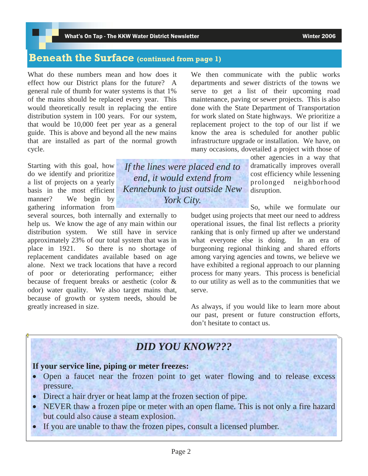### **Beneath the Surface (continued from page 1)**

What do these numbers mean and how does it effect how our District plans for the future? A general rule of thumb for water systems is that 1% of the mains should be replaced every year. This would theoretically result in replacing the entire distribution system in 100 years. For our system, that would be 10,000 feet per year as a general guide. This is above and beyond all the new mains that are installed as part of the normal growth cycle.

Starting with this goal, how do we identify and prioritize a list of projects on a yearly basis in the most efficient manner? We begin by gathering information from

several sources, both internally and externally to help us. We know the age of any main within our distribution system. We still have in service approximately 23% of our total system that was in place in 1921. So there is no shortage of replacement candidates available based on age alone. Next we track locations that have a record of poor or deteriorating performance; either because of frequent breaks or aesthetic (color & odor) water quality. We also target mains that, because of growth or system needs, should be greatly increased in size.

We then communicate with the public works departments and sewer districts of the towns we serve to get a list of their upcoming road maintenance, paving or sewer projects. This is also done with the State Department of Transportation for work slated on State highways. We prioritize a replacement project to the top of our list if we know the area is scheduled for another public infrastructure upgrade or installation. We have, on many occasions, dovetailed a project with those of

> other agencies in a way that dramatically improves overall cost efficiency while lessening prolonged neighborhood disruption.

So, while we formulate our

budget using projects that meet our need to address operational issues, the final list reflects a priority ranking that is only firmed up after we understand what everyone else is doing. In an era of burgeoning regional thinking and shared efforts among varying agencies and towns, we believe we have exhibited a regional approach to our planning process for many years. This process is beneficial to our utility as well as to the communities that we serve.

As always, if you would like to learn more about our past, present or future construction efforts, don't hesitate to contact us.

# *DID YOU KNOW???*

*If the lines were placed end to end, it would extend from Kennebunk to just outside New York City.* 

#### **If your service line, piping or meter freezes:**

- Open a faucet near the frozen point to get water flowing and to release excess pressure.
- Direct a hair dryer or heat lamp at the frozen section of pipe.
- NEVER thaw a frozen pipe or meter with an open flame. This is not only a fire hazard but could also cause a steam explosion.
- If you are unable to thaw the frozen pipes, consult a licensed plumber.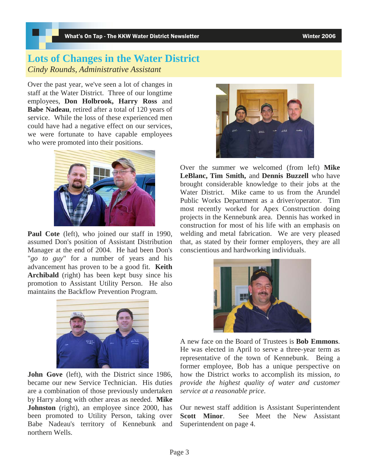### **Lots of Changes in the Water District**  *Cindy Rounds, Administrative Assistant*

Over the past year, we've seen a lot of changes in staff at the Water District. Three of our longtime employees, **Don Holbrook, Harry Ross** and **Babe Nadeau**, retired after a total of 120 years of service. While the loss of these experienced men could have had a negative effect on our services, we were fortunate to have capable employees who were promoted into their positions.



Paul Cote (left), who joined our staff in 1990, assumed Don's position of Assistant Distribution Manager at the end of 2004. He had been Don's "*go to guy*" for a number of years and his advancement has proven to be a good fit. **Keith Archibald** (right) has been kept busy since his promotion to Assistant Utility Person. He also maintains the Backflow Prevention Program.



**John Gove** (left), with the District since 1986, became our new Service Technician. His duties are a combination of those previously undertaken by Harry along with other areas as needed. **Mike Johnston** (right), an employee since 2000, has been promoted to Utility Person, taking over Babe Nadeau's territory of Kennebunk and northern Wells.



Over the summer we welcomed (from left) **Mike LeBlanc, Tim Smith,** and **Dennis Buzzell** who have brought considerable knowledge to their jobs at the Water District. Mike came to us from the Arundel Public Works Department as a driver/operator. Tim most recently worked for Apex Construction doing projects in the Kennebunk area. Dennis has worked in construction for most of his life with an emphasis on welding and metal fabrication. We are very pleased that, as stated by their former employers, they are all conscientious and hardworking individuals.



A new face on the Board of Trustees is **Bob Emmons**. He was elected in April to serve a three-year term as representative of the town of Kennebunk. Being a former employee, Bob has a unique perspective on how the District works to accomplish its mission, *to provide the highest quality of water and customer service at a reasonable price*.

Our newest staff addition is Assistant Superintendent **Scott Minor**. See Meet the New Assistant Superintendent on page 4.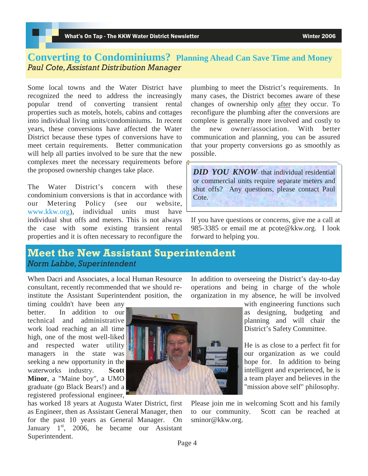#### **Converting to Condominiums? Planning Ahead Can Save Time and Money** *Paul Cote, Assistant Distribution Manager*

Some local towns and the Water District have recognized the need to address the increasingly popular trend of converting transient rental properties such as motels, hotels, cabins and cottages into individual living units/condominiums. In recent years, these conversions have affected the Water District because these types of conversions have to meet certain requirements. Better communication will help all parties involved to be sure that the new complexes meet the necessary requirements before the proposed ownership changes take place.

The Water District's concern with these condominium conversions is that in accordance with our Metering Policy (see our website, www.kkw.org), individual units must have individual shut offs and meters. This is not always the case with some existing transient rental properties and it is often necessary to reconfigure the

plumbing to meet the District's requirements. In many cases, the District becomes aware of these changes of ownership only after they occur. To reconfigure the plumbing after the conversions are complete is generally more involved and costly to the new owner/association. With better communication and planning, you can be assured that your property conversions go as smoothly as possible.

*DID YOU KNOW* that individual residential or commercial units require separate meters and shut offs? Any questions, please contact Paul Cote.

If you have questions or concerns, give me a call at 985-3385 or email me at pcote@kkw.org. I look forward to helping you.

#### **Meet the New Assistant Superintendent**  *Norm Labbe, Superintendent*

When Dacri and Associates, a local Human Resource consultant, recently recommended that we should reinstitute the Assistant Superintendent position, the

timing couldn't have been any better. In addition to our technical and administrative work load reaching an all time high, one of the most well-liked and respected water utility managers in the state was seeking a new opportunity in the waterworks industry. **Scott Minor**, a "Maine boy", a UMO graduate (go Black Bears!) and a registered professional engineer,

has worked 18 years at Augusta Water District, first as Engineer, then as Assistant General Manager, then for the past 10 years as General Manager. On January  $1<sup>st</sup>$ , 2006, he became our Assistant Superintendent.

In addition to overseeing the District's day-to-day operations and being in charge of the whole organization in my absence, he will be involved

> with engineering functions such as designing, budgeting and planning and will chair the District's Safety Committee.

> He is as close to a perfect fit for our organization as we could hope for. In addition to being intelligent and experienced, he is a team player and believes in the "mission above self" philosophy.

Please join me in welcoming Scott and his family to our community. Scott can be reached at sminor@kkw.org.

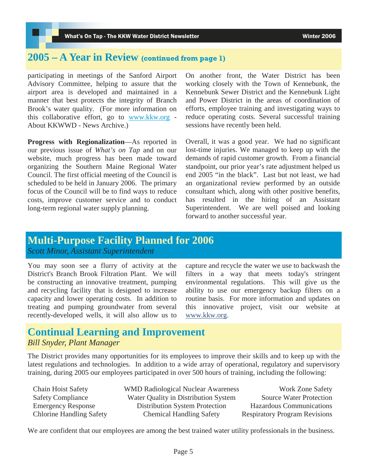### **2005 – A Year in Review (continued from page 1)**

participating in meetings of the Sanford Airport Advisory Committee, helping to assure that the airport area is developed and maintained in a manner that best protects the integrity of Branch Brook's water quality. (For more information on this collaborative effort, go to www.kkw.org - About KKWWD - News Archive.)

**Progress with Regionalization**—As reported in our previous issue of *What's on Tap* and on our website, much progress has been made toward organizing the Southern Maine Regional Water Council. The first official meeting of the Council is scheduled to be held in January 2006. The primary focus of the Council will be to find ways to reduce costs, improve customer service and to conduct long-term regional water supply planning.

On another front, the Water District has been working closely with the Town of Kennebunk, the Kennebunk Sewer District and the Kennebunk Light and Power District in the areas of coordination of efforts, employee training and investigating ways to reduce operating costs. Several successful training sessions have recently been held.

Overall, it was a good year. We had no significant lost-time injuries. We managed to keep up with the demands of rapid customer growth. From a financial standpoint, our prior year's rate adjustment helped us end 2005 "in the black". Last but not least, we had an organizational review performed by an outside consultant which, along with other positive benefits, has resulted in the hiring of an Assistant Superintendent. We are well poised and looking forward to another successful year.

# **Multi-Purpose Facility Planned for 2006**

*Scott Minor, Assistant Superintendent* 

You may soon see a flurry of activity at the District's Branch Brook Filtration Plant. We will be constructing an innovative treatment, pumping and recycling facility that is designed to increase capacity and lower operating costs. In addition to treating and pumping groundwater from several recently-developed wells, it will also allow us to capture and recycle the water we use to backwash the filters in a way that meets today's stringent environmental regulations. This will give us the ability to use our emergency backup filters on a routine basis. For more information and updates on this innovative project, visit our website at www.kkw.org.

#### **Continual Learning and Improvement**  *Bill Snyder, Plant Manager*

The District provides many opportunities for its employees to improve their skills and to keep up with the latest regulations and technologies. In addition to a wide array of operational, regulatory and supervisory training, during 2005 our employees participated in over 500 hours of training, including the following:

| <b>Chain Hoist Safety</b>       |
|---------------------------------|
| <b>Safety Compliance</b>        |
| <b>Emergency Response</b>       |
| <b>Chlorine Handling Safety</b> |

WMD Radiological Nuclear Awareness Work Zone Safety Water Quality in Distribution System Source Water Protection Distribution System Protection Hazardous Communications Chemical Handling Safety Respiratory Program Revisions

We are confident that our employees are among the best trained water utility professionals in the business.